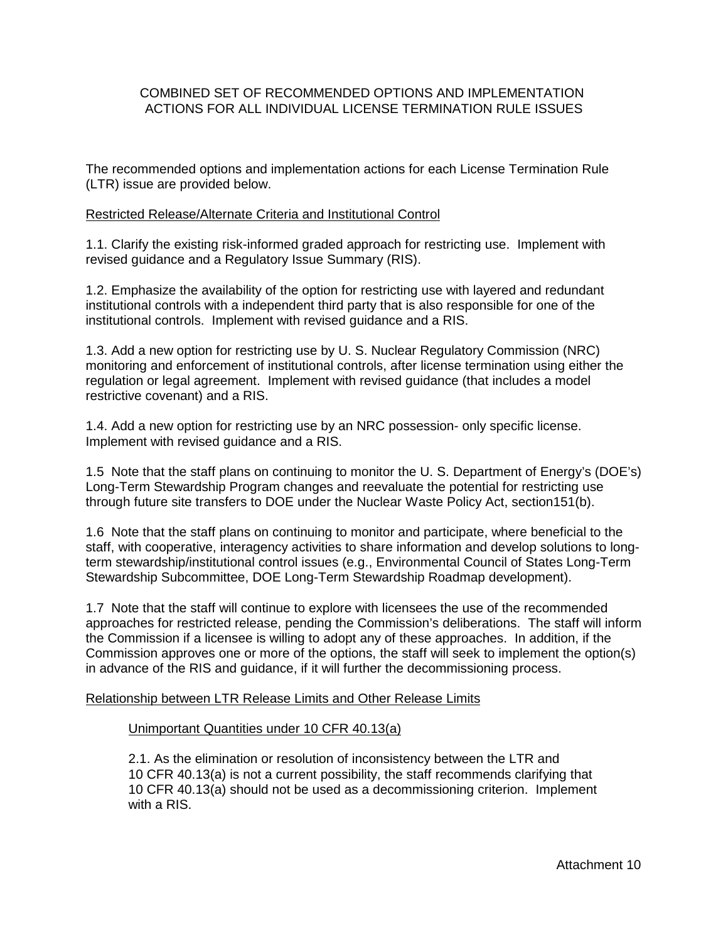# COMBINED SET OF RECOMMENDED OPTIONS AND IMPLEMENTATION ACTIONS FOR ALL INDIVIDUAL LICENSE TERMINATION RULE ISSUES

The recommended options and implementation actions for each License Termination Rule (LTR) issue are provided below.

# Restricted Release/Alternate Criteria and Institutional Control

1.1. Clarify the existing risk-informed graded approach for restricting use. Implement with revised guidance and a Regulatory Issue Summary (RIS).

1.2. Emphasize the availability of the option for restricting use with layered and redundant institutional controls with a independent third party that is also responsible for one of the institutional controls. Implement with revised guidance and a RIS.

1.3. Add a new option for restricting use by U. S. Nuclear Regulatory Commission (NRC) monitoring and enforcement of institutional controls, after license termination using either the regulation or legal agreement. Implement with revised guidance (that includes a model restrictive covenant) and a RIS.

1.4. Add a new option for restricting use by an NRC possession- only specific license. Implement with revised guidance and a RIS.

1.5 Note that the staff plans on continuing to monitor the U. S. Department of Energy's (DOE's) Long-Term Stewardship Program changes and reevaluate the potential for restricting use through future site transfers to DOE under the Nuclear Waste Policy Act, section151(b).

1.6 Note that the staff plans on continuing to monitor and participate, where beneficial to the staff, with cooperative, interagency activities to share information and develop solutions to longterm stewardship/institutional control issues (e.g., Environmental Council of States Long-Term Stewardship Subcommittee, DOE Long-Term Stewardship Roadmap development).

1.7 Note that the staff will continue to explore with licensees the use of the recommended approaches for restricted release, pending the Commission's deliberations. The staff will inform the Commission if a licensee is willing to adopt any of these approaches. In addition, if the Commission approves one or more of the options, the staff will seek to implement the option(s) in advance of the RIS and guidance, if it will further the decommissioning process.

# Relationship between LTR Release Limits and Other Release Limits

# Unimportant Quantities under 10 CFR 40.13(a)

2.1. As the elimination or resolution of inconsistency between the LTR and 10 CFR 40.13(a) is not a current possibility, the staff recommends clarifying that 10 CFR 40.13(a) should not be used as a decommissioning criterion. Implement with a RIS.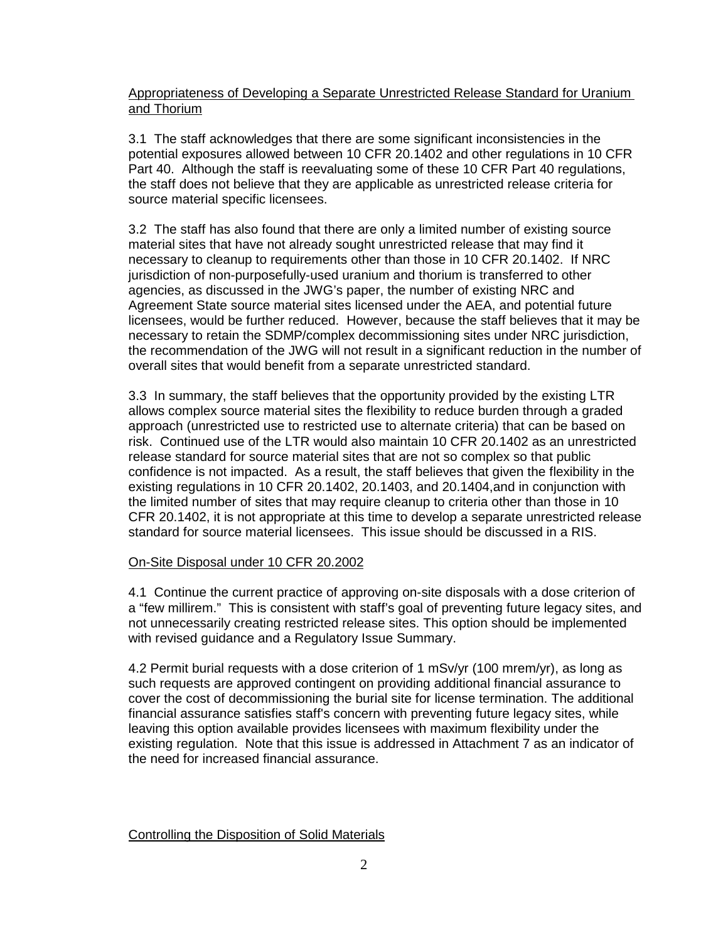# Appropriateness of Developing a Separate Unrestricted Release Standard for Uranium and Thorium

3.1 The staff acknowledges that there are some significant inconsistencies in the potential exposures allowed between 10 CFR 20.1402 and other regulations in 10 CFR Part 40. Although the staff is reevaluating some of these 10 CFR Part 40 regulations, the staff does not believe that they are applicable as unrestricted release criteria for source material specific licensees.

3.2 The staff has also found that there are only a limited number of existing source material sites that have not already sought unrestricted release that may find it necessary to cleanup to requirements other than those in 10 CFR 20.1402. If NRC jurisdiction of non-purposefully-used uranium and thorium is transferred to other agencies, as discussed in the JWG's paper, the number of existing NRC and Agreement State source material sites licensed under the AEA, and potential future licensees, would be further reduced. However, because the staff believes that it may be necessary to retain the SDMP/complex decommissioning sites under NRC jurisdiction, the recommendation of the JWG will not result in a significant reduction in the number of overall sites that would benefit from a separate unrestricted standard.

3.3 In summary, the staff believes that the opportunity provided by the existing LTR allows complex source material sites the flexibility to reduce burden through a graded approach (unrestricted use to restricted use to alternate criteria) that can be based on risk. Continued use of the LTR would also maintain 10 CFR 20.1402 as an unrestricted release standard for source material sites that are not so complex so that public confidence is not impacted. As a result, the staff believes that given the flexibility in the existing regulations in 10 CFR 20.1402, 20.1403, and 20.1404,and in conjunction with the limited number of sites that may require cleanup to criteria other than those in 10 CFR 20.1402, it is not appropriate at this time to develop a separate unrestricted release standard for source material licensees. This issue should be discussed in a RIS.

# On-Site Disposal under 10 CFR 20.2002

4.1 Continue the current practice of approving on-site disposals with a dose criterion of a "few millirem." This is consistent with staff's goal of preventing future legacy sites, and not unnecessarily creating restricted release sites. This option should be implemented with revised guidance and a Regulatory Issue Summary.

4.2 Permit burial requests with a dose criterion of 1 mSv/yr (100 mrem/yr), as long as such requests are approved contingent on providing additional financial assurance to cover the cost of decommissioning the burial site for license termination. The additional financial assurance satisfies staff's concern with preventing future legacy sites, while leaving this option available provides licensees with maximum flexibility under the existing regulation. Note that this issue is addressed in Attachment 7 as an indicator of the need for increased financial assurance.

# Controlling the Disposition of Solid Materials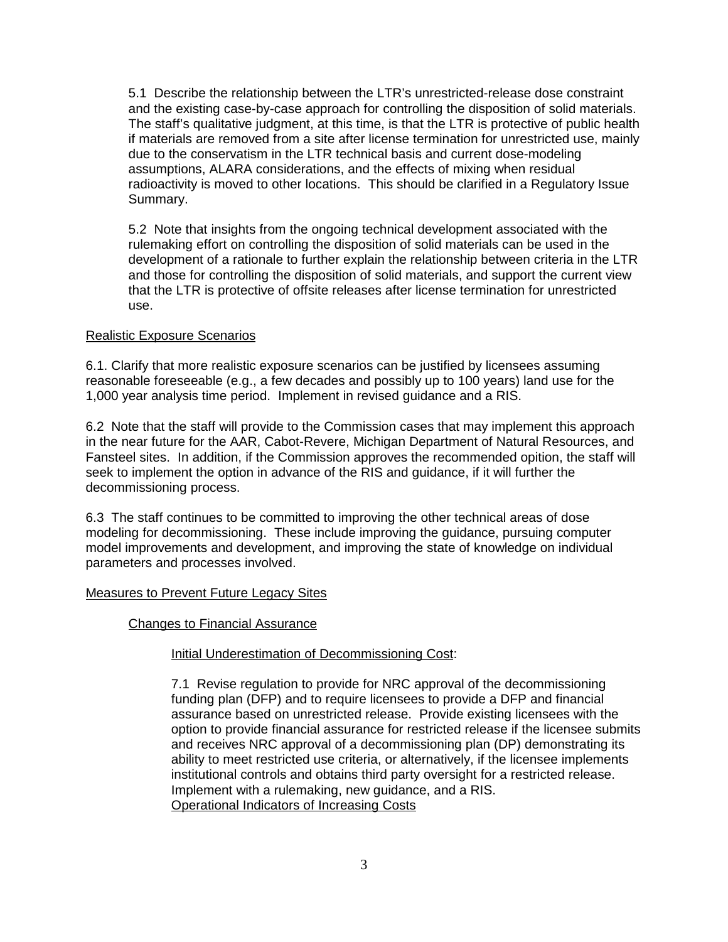5.1 Describe the relationship between the LTR's unrestricted-release dose constraint and the existing case-by-case approach for controlling the disposition of solid materials. The staff's qualitative judgment, at this time, is that the LTR is protective of public health if materials are removed from a site after license termination for unrestricted use, mainly due to the conservatism in the LTR technical basis and current dose-modeling assumptions, ALARA considerations, and the effects of mixing when residual radioactivity is moved to other locations. This should be clarified in a Regulatory Issue Summary.

5.2 Note that insights from the ongoing technical development associated with the rulemaking effort on controlling the disposition of solid materials can be used in the development of a rationale to further explain the relationship between criteria in the LTR and those for controlling the disposition of solid materials, and support the current view that the LTR is protective of offsite releases after license termination for unrestricted use.

# Realistic Exposure Scenarios

6.1. Clarify that more realistic exposure scenarios can be justified by licensees assuming reasonable foreseeable (e.g., a few decades and possibly up to 100 years) land use for the 1,000 year analysis time period. Implement in revised guidance and a RIS.

6.2 Note that the staff will provide to the Commission cases that may implement this approach in the near future for the AAR, Cabot-Revere, Michigan Department of Natural Resources, and Fansteel sites. In addition, if the Commission approves the recommended opition, the staff will seek to implement the option in advance of the RIS and guidance, if it will further the decommissioning process.

6.3 The staff continues to be committed to improving the other technical areas of dose modeling for decommissioning. These include improving the guidance, pursuing computer model improvements and development, and improving the state of knowledge on individual parameters and processes involved.

## Measures to Prevent Future Legacy Sites

## Changes to Financial Assurance

## **Initial Underestimation of Decommissioning Cost:**

7.1 Revise regulation to provide for NRC approval of the decommissioning funding plan (DFP) and to require licensees to provide a DFP and financial assurance based on unrestricted release. Provide existing licensees with the option to provide financial assurance for restricted release if the licensee submits and receives NRC approval of a decommissioning plan (DP) demonstrating its ability to meet restricted use criteria, or alternatively, if the licensee implements institutional controls and obtains third party oversight for a restricted release. Implement with a rulemaking, new guidance, and a RIS. Operational Indicators of Increasing Costs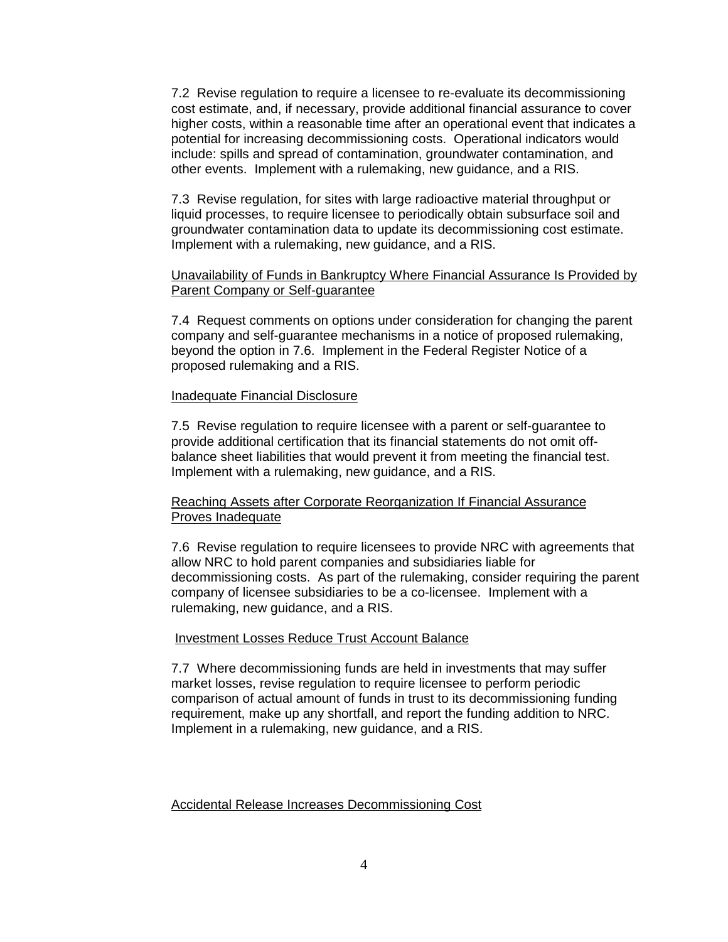7.2 Revise regulation to require a licensee to re-evaluate its decommissioning cost estimate, and, if necessary, provide additional financial assurance to cover higher costs, within a reasonable time after an operational event that indicates a potential for increasing decommissioning costs. Operational indicators would include: spills and spread of contamination, groundwater contamination, and other events. Implement with a rulemaking, new guidance, and a RIS.

7.3 Revise regulation, for sites with large radioactive material throughput or liquid processes, to require licensee to periodically obtain subsurface soil and groundwater contamination data to update its decommissioning cost estimate. Implement with a rulemaking, new guidance, and a RIS.

## Unavailability of Funds in Bankruptcy Where Financial Assurance Is Provided by Parent Company or Self-guarantee

7.4 Request comments on options under consideration for changing the parent company and self-guarantee mechanisms in a notice of proposed rulemaking, beyond the option in 7.6. Implement in the Federal Register Notice of a proposed rulemaking and a RIS.

### Inadequate Financial Disclosure

7.5 Revise regulation to require licensee with a parent or self-guarantee to provide additional certification that its financial statements do not omit offbalance sheet liabilities that would prevent it from meeting the financial test. Implement with a rulemaking, new guidance, and a RIS.

## Reaching Assets after Corporate Reorganization If Financial Assurance Proves Inadequate

7.6 Revise regulation to require licensees to provide NRC with agreements that allow NRC to hold parent companies and subsidiaries liable for decommissioning costs. As part of the rulemaking, consider requiring the parent company of licensee subsidiaries to be a co-licensee. Implement with a rulemaking, new guidance, and a RIS.

## Investment Losses Reduce Trust Account Balance

7.7 Where decommissioning funds are held in investments that may suffer market losses, revise regulation to require licensee to perform periodic comparison of actual amount of funds in trust to its decommissioning funding requirement, make up any shortfall, and report the funding addition to NRC. Implement in a rulemaking, new guidance, and a RIS.

## Accidental Release Increases Decommissioning Cost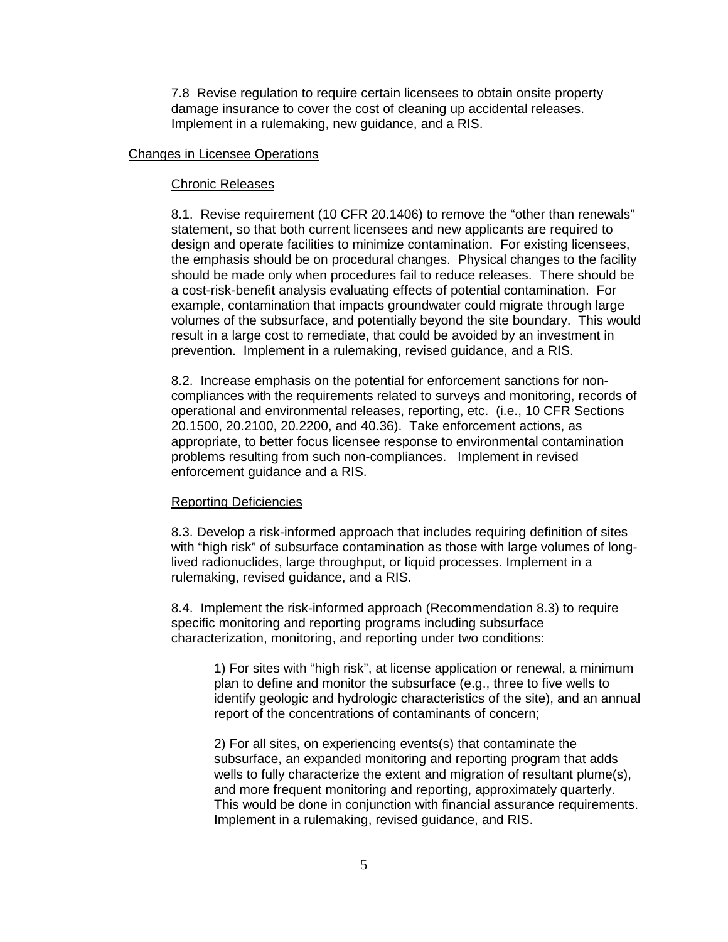7.8 Revise regulation to require certain licensees to obtain onsite property damage insurance to cover the cost of cleaning up accidental releases. Implement in a rulemaking, new guidance, and a RIS.

### Changes in Licensee Operations

#### Chronic Releases

8.1. Revise requirement (10 CFR 20.1406) to remove the "other than renewals" statement, so that both current licensees and new applicants are required to design and operate facilities to minimize contamination. For existing licensees, the emphasis should be on procedural changes. Physical changes to the facility should be made only when procedures fail to reduce releases. There should be a cost-risk-benefit analysis evaluating effects of potential contamination. For example, contamination that impacts groundwater could migrate through large volumes of the subsurface, and potentially beyond the site boundary. This would result in a large cost to remediate, that could be avoided by an investment in prevention. Implement in a rulemaking, revised guidance, and a RIS.

8.2. Increase emphasis on the potential for enforcement sanctions for noncompliances with the requirements related to surveys and monitoring, records of operational and environmental releases, reporting, etc. (i.e., 10 CFR Sections 20.1500, 20.2100, 20.2200, and 40.36). Take enforcement actions, as appropriate, to better focus licensee response to environmental contamination problems resulting from such non-compliances. Implement in revised enforcement guidance and a RIS.

#### Reporting Deficiencies

8.3. Develop a risk-informed approach that includes requiring definition of sites with "high risk" of subsurface contamination as those with large volumes of longlived radionuclides, large throughput, or liquid processes. Implement in a rulemaking, revised guidance, and a RIS.

8.4. Implement the risk-informed approach (Recommendation 8.3) to require specific monitoring and reporting programs including subsurface characterization, monitoring, and reporting under two conditions:

1) For sites with "high risk", at license application or renewal, a minimum plan to define and monitor the subsurface (e.g., three to five wells to identify geologic and hydrologic characteristics of the site), and an annual report of the concentrations of contaminants of concern;

2) For all sites, on experiencing events(s) that contaminate the subsurface, an expanded monitoring and reporting program that adds wells to fully characterize the extent and migration of resultant plume(s), and more frequent monitoring and reporting, approximately quarterly. This would be done in conjunction with financial assurance requirements. Implement in a rulemaking, revised guidance, and RIS.